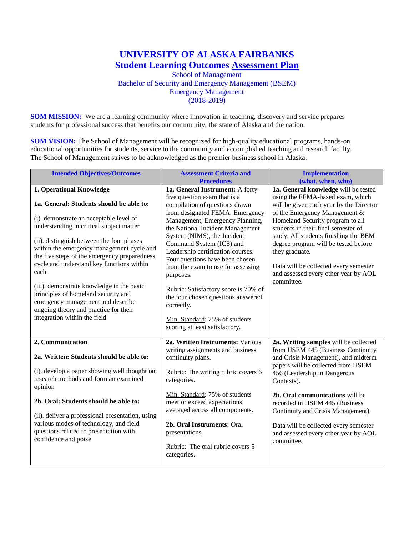## **UNIVERSITY OF ALASKA FAIRBANKS Student Learning Outcomes Assessment Plan** School of Management

Bachelor of Security and Emergency Management (BSEM) Emergency Management  $(2018-2019)$ 

**SOM MISSION:** We are a learning community where innovation in teaching, discovery and service prepares students for professional success that benefits our community, the state of Alaska and the nation.

**SOM VISION:** The School of Management will be recognized for high-quality educational programs, hands-on educational opportunities for students, service to the community and accomplished teaching and research faculty. The School of Management strives to be acknowledged as the premier business school in Alaska.

| <b>Intended Objectives/Outcomes</b>                                                                                                                                                                                             | <b>Assessment Criteria and</b>                                                                                                                                                                            | <b>Implementation</b>                                                                                                                                                           |
|---------------------------------------------------------------------------------------------------------------------------------------------------------------------------------------------------------------------------------|-----------------------------------------------------------------------------------------------------------------------------------------------------------------------------------------------------------|---------------------------------------------------------------------------------------------------------------------------------------------------------------------------------|
|                                                                                                                                                                                                                                 | <b>Procedures</b>                                                                                                                                                                                         | (what, when, who)                                                                                                                                                               |
| 1. Operational Knowledge                                                                                                                                                                                                        | 1a. General Instrument: A forty-                                                                                                                                                                          | 1a. General knowledge will be tested                                                                                                                                            |
| 1a. General: Students should be able to:<br>(i). demonstrate an acceptable level of                                                                                                                                             | five question exam that is a<br>compilation of questions drawn<br>from designated FEMA: Emergency<br>Management, Emergency Planning,                                                                      | using the FEMA-based exam, which<br>will be given each year by the Director<br>of the Emergency Management &<br>Homeland Security program to all                                |
| understanding in critical subject matter<br>(ii). distinguish between the four phases<br>within the emergency management cycle and<br>the five steps of the emergency preparedness<br>cycle and understand key functions within | the National Incident Management<br>System (NIMS), the Incident<br>Command System (ICS) and<br>Leadership certification courses.<br>Four questions have been chosen<br>from the exam to use for assessing | students in their final semester of<br>study. All students finishing the BEM<br>degree program will be tested before<br>they graduate.<br>Data will be collected every semester |
| each                                                                                                                                                                                                                            | purposes.                                                                                                                                                                                                 | and assessed every other year by AOL<br>committee.                                                                                                                              |
| (iii). demonstrate knowledge in the basic<br>principles of homeland security and<br>emergency management and describe<br>ongoing theory and practice for their                                                                  | Rubric: Satisfactory score is 70% of<br>the four chosen questions answered<br>correctly.                                                                                                                  |                                                                                                                                                                                 |
| integration within the field                                                                                                                                                                                                    | Min. Standard: 75% of students<br>scoring at least satisfactory.                                                                                                                                          |                                                                                                                                                                                 |
| 2. Communication                                                                                                                                                                                                                | 2a. Written Instruments: Various                                                                                                                                                                          | 2a. Writing samples will be collected                                                                                                                                           |
| 2a. Written: Students should be able to:                                                                                                                                                                                        | writing assignments and business<br>continuity plans.                                                                                                                                                     | from HSEM 445 (Business Continuity<br>and Crisis Management), and midterm                                                                                                       |
| (i). develop a paper showing well thought out<br>research methods and form an examined<br>opinion                                                                                                                               | Rubric: The writing rubric covers 6<br>categories.                                                                                                                                                        | papers will be collected from HSEM<br>456 (Leadership in Dangerous<br>Contexts).                                                                                                |
|                                                                                                                                                                                                                                 | Min. Standard: 75% of students                                                                                                                                                                            | 2b. Oral communications will be                                                                                                                                                 |
| 2b. Oral: Students should be able to:                                                                                                                                                                                           | meet or exceed expectations                                                                                                                                                                               | recorded in HSEM 445 (Business                                                                                                                                                  |
| (ii). deliver a professional presentation, using                                                                                                                                                                                | averaged across all components.                                                                                                                                                                           | Continuity and Crisis Management).                                                                                                                                              |
| various modes of technology, and field<br>questions related to presentation with<br>confidence and poise                                                                                                                        | 2b. Oral Instruments: Oral<br>presentations.                                                                                                                                                              | Data will be collected every semester<br>and assessed every other year by AOL                                                                                                   |
|                                                                                                                                                                                                                                 | Rubric: The oral rubric covers 5<br>categories.                                                                                                                                                           | committee.                                                                                                                                                                      |